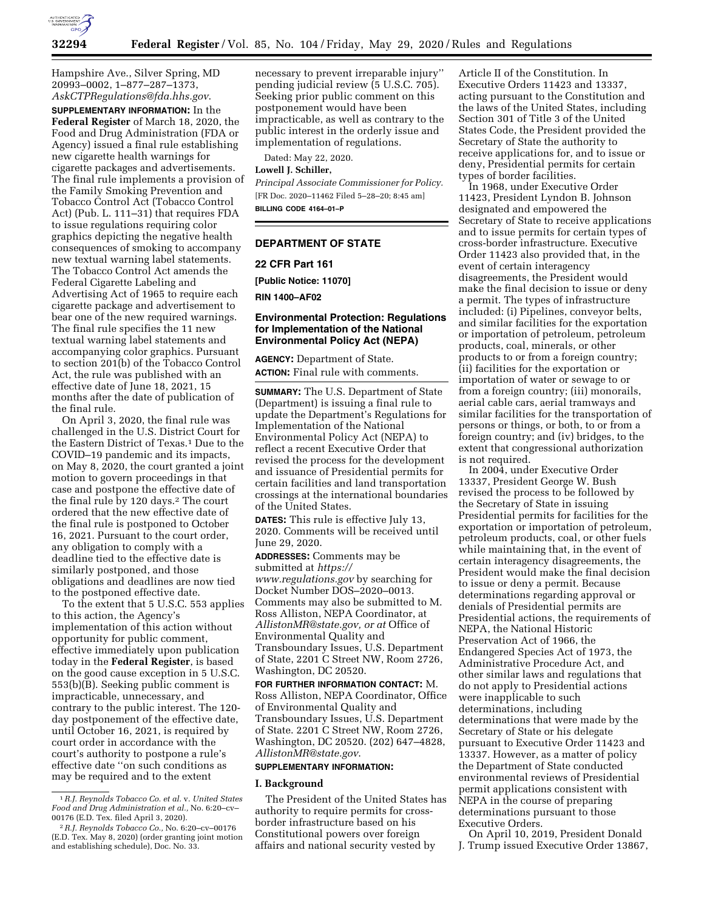

Hampshire Ave., Silver Spring, MD 20993–0002, 1–877–287–1373, *[AskCTPRegulations@fda.hhs.gov](mailto:AskCTPRegulations@fda.hhs.gov)*.

**SUPPLEMENTARY INFORMATION:** In the **Federal Register** of March 18, 2020, the Food and Drug Administration (FDA or Agency) issued a final rule establishing new cigarette health warnings for cigarette packages and advertisements. The final rule implements a provision of the Family Smoking Prevention and Tobacco Control Act (Tobacco Control Act) (Pub. L. 111–31) that requires FDA to issue regulations requiring color graphics depicting the negative health consequences of smoking to accompany new textual warning label statements. The Tobacco Control Act amends the Federal Cigarette Labeling and Advertising Act of 1965 to require each cigarette package and advertisement to bear one of the new required warnings. The final rule specifies the 11 new textual warning label statements and accompanying color graphics. Pursuant to section 201(b) of the Tobacco Control Act, the rule was published with an effective date of June 18, 2021, 15 months after the date of publication of the final rule.

On April 3, 2020, the final rule was challenged in the U.S. District Court for the Eastern District of Texas.<sup>1</sup> Due to the COVID–19 pandemic and its impacts, on May 8, 2020, the court granted a joint motion to govern proceedings in that case and postpone the effective date of the final rule by 120 days.<sup>2</sup> The court ordered that the new effective date of the final rule is postponed to October 16, 2021. Pursuant to the court order, any obligation to comply with a deadline tied to the effective date is similarly postponed, and those obligations and deadlines are now tied to the postponed effective date.

To the extent that 5 U.S.C. 553 applies to this action, the Agency's implementation of this action without opportunity for public comment, effective immediately upon publication today in the **Federal Register**, is based on the good cause exception in 5 U.S.C. 553(b)(B). Seeking public comment is impracticable, unnecessary, and contrary to the public interest. The 120 day postponement of the effective date, until October 16, 2021, is required by court order in accordance with the court's authority to postpone a rule's effective date ''on such conditions as may be required and to the extent

necessary to prevent irreparable injury'' pending judicial review (5 U.S.C. 705). Seeking prior public comment on this postponement would have been impracticable, as well as contrary to the public interest in the orderly issue and implementation of regulations.

Dated: May 22, 2020.

# **Lowell J. Schiller,**

*Principal Associate Commissioner for Policy.*  [FR Doc. 2020–11462 Filed 5–28–20; 8:45 am] **BILLING CODE 4164–01–P** 

# **DEPARTMENT OF STATE**

**22 CFR Part 161** 

**[Public Notice: 11070]** 

**RIN 1400–AF02** 

# **Environmental Protection: Regulations for Implementation of the National Environmental Policy Act (NEPA)**

**AGENCY:** Department of State.

**ACTION:** Final rule with comments.

**SUMMARY:** The U.S. Department of State (Department) is issuing a final rule to update the Department's Regulations for Implementation of the National Environmental Policy Act (NEPA) to reflect a recent Executive Order that revised the process for the development and issuance of Presidential permits for certain facilities and land transportation crossings at the international boundaries of the United States.

**DATES:** This rule is effective July 13, 2020. Comments will be received until June 29, 2020.

**ADDRESSES:** Comments may be

submitted at *[https://](https://www.regulations.gov) [www.regulations.gov](https://www.regulations.gov)* by searching for Docket Number DOS–2020–0013. Comments may also be submitted to M. Ross Alliston, NEPA Coordinator, at *[AllistonMR@state.gov,](mailto:AllistonMR@state.gov) or at* Office of Environmental Quality and Transboundary Issues, U.S. Department of State, 2201 C Street NW, Room 2726, Washington, DC 20520.

**FOR FURTHER INFORMATION CONTACT:** M. Ross Alliston, NEPA Coordinator, Office of Environmental Quality and Transboundary Issues, U.S. Department of State. 2201 C Street NW, Room 2726, Washington, DC 20520. (202) 647–4828, *[AllistonMR@state.gov](mailto:AllistonMR@state.gov)*.

#### **SUPPLEMENTARY INFORMATION:**

#### **I. Background**

The President of the United States has authority to require permits for crossborder infrastructure based on his Constitutional powers over foreign affairs and national security vested by

Article II of the Constitution. In Executive Orders 11423 and 13337, acting pursuant to the Constitution and the laws of the United States, including Section 301 of Title 3 of the United States Code, the President provided the Secretary of State the authority to receive applications for, and to issue or deny, Presidential permits for certain types of border facilities.

In 1968, under Executive Order 11423, President Lyndon B. Johnson designated and empowered the Secretary of State to receive applications and to issue permits for certain types of cross-border infrastructure. Executive Order 11423 also provided that, in the event of certain interagency disagreements, the President would make the final decision to issue or deny a permit. The types of infrastructure included: (i) Pipelines, conveyor belts, and similar facilities for the exportation or importation of petroleum, petroleum products, coal, minerals, or other products to or from a foreign country; (ii) facilities for the exportation or importation of water or sewage to or from a foreign country; (iii) monorails, aerial cable cars, aerial tramways and similar facilities for the transportation of persons or things, or both, to or from a foreign country; and (iv) bridges, to the extent that congressional authorization is not required.

In 2004, under Executive Order 13337, President George W. Bush revised the process to be followed by the Secretary of State in issuing Presidential permits for facilities for the exportation or importation of petroleum, petroleum products, coal, or other fuels while maintaining that, in the event of certain interagency disagreements, the President would make the final decision to issue or deny a permit. Because determinations regarding approval or denials of Presidential permits are Presidential actions, the requirements of NEPA, the National Historic Preservation Act of 1966, the Endangered Species Act of 1973, the Administrative Procedure Act, and other similar laws and regulations that do not apply to Presidential actions were inapplicable to such determinations, including determinations that were made by the Secretary of State or his delegate pursuant to Executive Order 11423 and 13337. However, as a matter of policy the Department of State conducted environmental reviews of Presidential permit applications consistent with NEPA in the course of preparing determinations pursuant to those Executive Orders.

On April 10, 2019, President Donald J. Trump issued Executive Order 13867,

<sup>1</sup>*R.J. Reynolds Tobacco Co. et al.* v. *United States Food and Drug Administration et al.,* No. 6:20–cv– 00176 (E.D. Tex. filed April 3, 2020).

<sup>2</sup>*R.J. Reynolds Tobacco Co.,* No. 6:20–cv–00176 (E.D. Tex. May 8, 2020) (order granting joint motion and establishing schedule), Doc. No. 33.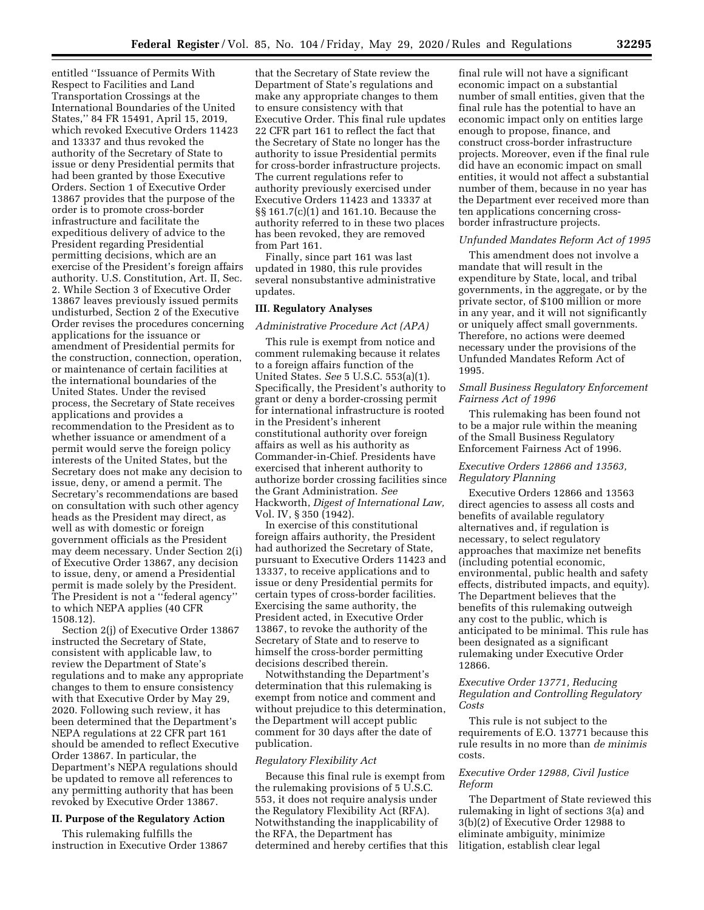entitled ''Issuance of Permits With Respect to Facilities and Land Transportation Crossings at the International Boundaries of the United States,'' 84 FR 15491, April 15, 2019, which revoked Executive Orders 11423 and 13337 and thus revoked the authority of the Secretary of State to issue or deny Presidential permits that had been granted by those Executive Orders. Section 1 of Executive Order 13867 provides that the purpose of the order is to promote cross-border infrastructure and facilitate the expeditious delivery of advice to the President regarding Presidential permitting decisions, which are an exercise of the President's foreign affairs authority. U.S. Constitution, Art. II, Sec. 2. While Section 3 of Executive Order 13867 leaves previously issued permits undisturbed, Section 2 of the Executive Order revises the procedures concerning applications for the issuance or amendment of Presidential permits for the construction, connection, operation, or maintenance of certain facilities at the international boundaries of the United States. Under the revised process, the Secretary of State receives applications and provides a recommendation to the President as to whether issuance or amendment of a permit would serve the foreign policy interests of the United States, but the Secretary does not make any decision to issue, deny, or amend a permit. The Secretary's recommendations are based on consultation with such other agency heads as the President may direct, as well as with domestic or foreign government officials as the President may deem necessary. Under Section 2(i) of Executive Order 13867, any decision to issue, deny, or amend a Presidential permit is made solely by the President. The President is not a ''federal agency'' to which NEPA applies (40 CFR 1508.12).

Section 2(j) of Executive Order 13867 instructed the Secretary of State, consistent with applicable law, to review the Department of State's regulations and to make any appropriate changes to them to ensure consistency with that Executive Order by May 29, 2020. Following such review, it has been determined that the Department's NEPA regulations at 22 CFR part 161 should be amended to reflect Executive Order 13867. In particular, the Department's NEPA regulations should be updated to remove all references to any permitting authority that has been revoked by Executive Order 13867.

# **II. Purpose of the Regulatory Action**

This rulemaking fulfills the instruction in Executive Order 13867

that the Secretary of State review the Department of State's regulations and make any appropriate changes to them to ensure consistency with that Executive Order. This final rule updates 22 CFR part 161 to reflect the fact that the Secretary of State no longer has the authority to issue Presidential permits for cross-border infrastructure projects. The current regulations refer to authority previously exercised under Executive Orders 11423 and 13337 at §§ 161.7(c)(1) and 161.10. Because the authority referred to in these two places has been revoked, they are removed from Part 161.

Finally, since part 161 was last updated in 1980, this rule provides several nonsubstantive administrative updates.

# **III. Regulatory Analyses**

#### *Administrative Procedure Act (APA)*

This rule is exempt from notice and comment rulemaking because it relates to a foreign affairs function of the United States. *See* 5 U.S.C. 553(a)(1). Specifically, the President's authority to grant or deny a border-crossing permit for international infrastructure is rooted in the President's inherent constitutional authority over foreign affairs as well as his authority as Commander-in-Chief. Presidents have exercised that inherent authority to authorize border crossing facilities since the Grant Administration. *See*  Hackworth, *Digest of International Law,*  Vol. IV, § 350 (1942).

In exercise of this constitutional foreign affairs authority, the President had authorized the Secretary of State, pursuant to Executive Orders 11423 and 13337, to receive applications and to issue or deny Presidential permits for certain types of cross-border facilities. Exercising the same authority, the President acted, in Executive Order 13867, to revoke the authority of the Secretary of State and to reserve to himself the cross-border permitting decisions described therein.

Notwithstanding the Department's determination that this rulemaking is exempt from notice and comment and without prejudice to this determination, the Department will accept public comment for 30 days after the date of publication.

### *Regulatory Flexibility Act*

Because this final rule is exempt from the rulemaking provisions of 5 U.S.C. 553, it does not require analysis under the Regulatory Flexibility Act (RFA). Notwithstanding the inapplicability of the RFA, the Department has determined and hereby certifies that this

final rule will not have a significant economic impact on a substantial number of small entities, given that the final rule has the potential to have an economic impact only on entities large enough to propose, finance, and construct cross-border infrastructure projects. Moreover, even if the final rule did have an economic impact on small entities, it would not affect a substantial number of them, because in no year has the Department ever received more than ten applications concerning crossborder infrastructure projects.

# *Unfunded Mandates Reform Act of 1995*

This amendment does not involve a mandate that will result in the expenditure by State, local, and tribal governments, in the aggregate, or by the private sector, of \$100 million or more in any year, and it will not significantly or uniquely affect small governments. Therefore, no actions were deemed necessary under the provisions of the Unfunded Mandates Reform Act of 1995.

### *Small Business Regulatory Enforcement Fairness Act of 1996*

This rulemaking has been found not to be a major rule within the meaning of the Small Business Regulatory Enforcement Fairness Act of 1996.

# *Executive Orders 12866 and 13563, Regulatory Planning*

Executive Orders 12866 and 13563 direct agencies to assess all costs and benefits of available regulatory alternatives and, if regulation is necessary, to select regulatory approaches that maximize net benefits (including potential economic, environmental, public health and safety effects, distributed impacts, and equity). The Department believes that the benefits of this rulemaking outweigh any cost to the public, which is anticipated to be minimal. This rule has been designated as a significant rulemaking under Executive Order 12866.

# *Executive Order 13771, Reducing Regulation and Controlling Regulatory Costs*

This rule is not subject to the requirements of E.O. 13771 because this rule results in no more than *de minimis*  costs.

# *Executive Order 12988, Civil Justice Reform*

The Department of State reviewed this rulemaking in light of sections 3(a) and 3(b)(2) of Executive Order 12988 to eliminate ambiguity, minimize litigation, establish clear legal